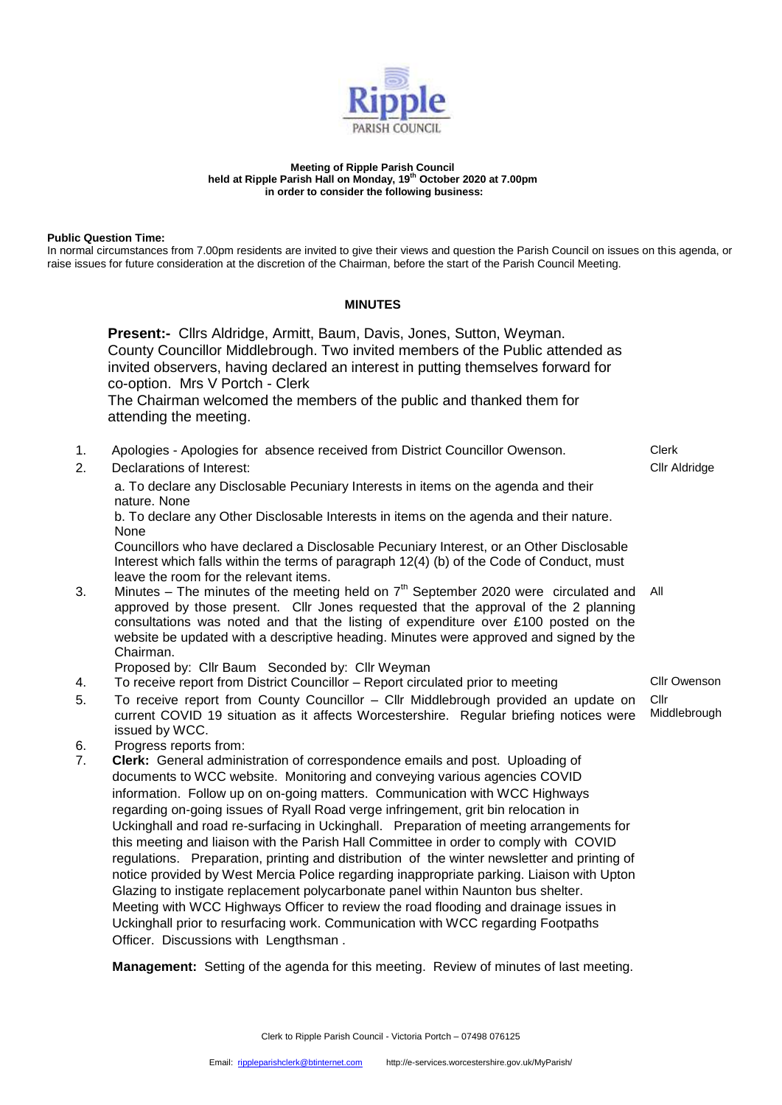

## **Meeting of Ripple Parish Council held at Ripple Parish Hall on Monday, 19th October 2020 at 7.00pm in order to consider the following business:**

## **Public Question Time:**

In normal circumstances from 7.00pm residents are invited to give their views and question the Parish Council on issues on this agenda, or raise issues for future consideration at the discretion of the Chairman, before the start of the Parish Council Meeting.

## **MINUTES**

|          | Present:- Cllrs Aldridge, Armitt, Baum, Davis, Jones, Sutton, Weyman.<br>County Councillor Middlebrough. Two invited members of the Public attended as<br>invited observers, having declared an interest in putting themselves forward for<br>co-option. Mrs V Portch - Clerk<br>The Chairman welcomed the members of the public and thanked them for<br>attending the meeting.                                                                                                                                                                                                                                                                                                                                                                                                                                                                                                                                                                                                                                                                     |                               |
|----------|-----------------------------------------------------------------------------------------------------------------------------------------------------------------------------------------------------------------------------------------------------------------------------------------------------------------------------------------------------------------------------------------------------------------------------------------------------------------------------------------------------------------------------------------------------------------------------------------------------------------------------------------------------------------------------------------------------------------------------------------------------------------------------------------------------------------------------------------------------------------------------------------------------------------------------------------------------------------------------------------------------------------------------------------------------|-------------------------------|
| 1.<br>2. | Apologies - Apologies for absence received from District Councillor Owenson.<br>Declarations of Interest:                                                                                                                                                                                                                                                                                                                                                                                                                                                                                                                                                                                                                                                                                                                                                                                                                                                                                                                                           | <b>Clerk</b><br>Cllr Aldridge |
|          | a. To declare any Disclosable Pecuniary Interests in items on the agenda and their<br>nature. None                                                                                                                                                                                                                                                                                                                                                                                                                                                                                                                                                                                                                                                                                                                                                                                                                                                                                                                                                  |                               |
|          | b. To declare any Other Disclosable Interests in items on the agenda and their nature.<br>None                                                                                                                                                                                                                                                                                                                                                                                                                                                                                                                                                                                                                                                                                                                                                                                                                                                                                                                                                      |                               |
|          | Councillors who have declared a Disclosable Pecuniary Interest, or an Other Disclosable<br>Interest which falls within the terms of paragraph 12(4) (b) of the Code of Conduct, must<br>leave the room for the relevant items.                                                                                                                                                                                                                                                                                                                                                                                                                                                                                                                                                                                                                                                                                                                                                                                                                      |                               |
| 3.       | Minutes – The minutes of the meeting held on $7th$ September 2020 were circulated and<br>approved by those present. Cllr Jones requested that the approval of the 2 planning<br>consultations was noted and that the listing of expenditure over £100 posted on the<br>website be updated with a descriptive heading. Minutes were approved and signed by the<br>Chairman.                                                                                                                                                                                                                                                                                                                                                                                                                                                                                                                                                                                                                                                                          | All                           |
|          | Proposed by: Cllr Baum Seconded by: Cllr Weyman                                                                                                                                                                                                                                                                                                                                                                                                                                                                                                                                                                                                                                                                                                                                                                                                                                                                                                                                                                                                     |                               |
| 4.       | To receive report from District Councillor - Report circulated prior to meeting                                                                                                                                                                                                                                                                                                                                                                                                                                                                                                                                                                                                                                                                                                                                                                                                                                                                                                                                                                     | Cllr Owenson                  |
| 5.       | To receive report from County Councillor - Cllr Middlebrough provided an update on<br>current COVID 19 situation as it affects Worcestershire. Regular briefing notices were<br>issued by WCC.                                                                                                                                                                                                                                                                                                                                                                                                                                                                                                                                                                                                                                                                                                                                                                                                                                                      | Cllr<br>Middlebrough          |
| 6.<br>7. | Progress reports from:<br>Clerk: General administration of correspondence emails and post. Uploading of<br>documents to WCC website. Monitoring and conveying various agencies COVID<br>information. Follow up on on-going matters. Communication with WCC Highways<br>regarding on-going issues of Ryall Road verge infringement, grit bin relocation in<br>Uckinghall and road re-surfacing in Uckinghall. Preparation of meeting arrangements for<br>this meeting and liaison with the Parish Hall Committee in order to comply with COVID<br>regulations. Preparation, printing and distribution of the winter newsletter and printing of<br>notice provided by West Mercia Police regarding inappropriate parking. Liaison with Upton<br>Glazing to instigate replacement polycarbonate panel within Naunton bus shelter.<br>Meeting with WCC Highways Officer to review the road flooding and drainage issues in<br>Uckinghall prior to resurfacing work. Communication with WCC regarding Footpaths<br>Officer. Discussions with Lengthsman. |                               |

**Management:** Setting of the agenda for this meeting. Review of minutes of last meeting.

Clerk to Ripple Parish Council - Victoria Portch – 07498 076125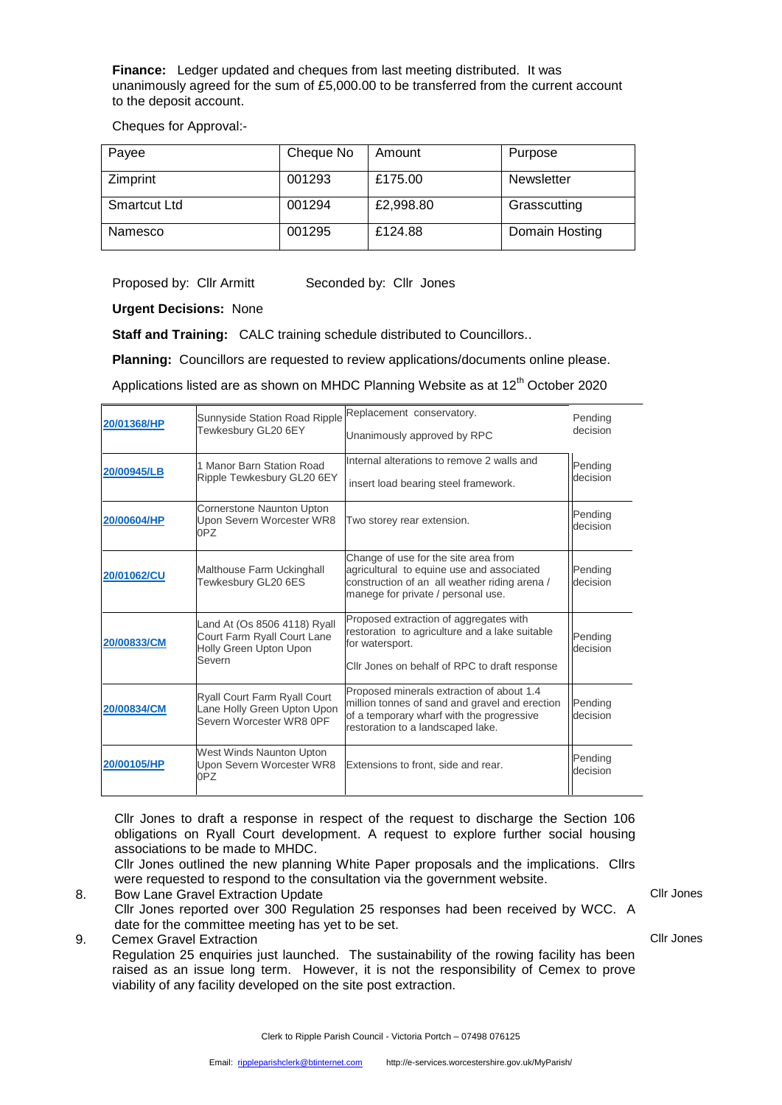**Finance:** Ledger updated and cheques from last meeting distributed. It was unanimously agreed for the sum of £5,000.00 to be transferred from the current account to the deposit account.

Cheques for Approval:-

| Payee               | Cheque No | Amount    | Purpose        |
|---------------------|-----------|-----------|----------------|
| Zimprint            | 001293    | £175.00   | Newsletter     |
| <b>Smartcut Ltd</b> | 001294    | £2,998.80 | Grasscutting   |
| Namesco             | 001295    | £124.88   | Domain Hosting |

Proposed by: Cllr Armitt Seconded by: Cllr Jones

**Urgent Decisions:** None

**Staff and Training:** CALC training schedule distributed to Councillors..

**Planning:** Councillors are requested to review applications/documents online please.

Applications listed are as shown on MHDC Planning Website as at  $12<sup>th</sup>$  October 2020

| 20/01368/HP | Sunnyside Station Road Ripple<br>Tewkesbury GL20 6EY                                            | Replacement conservatory.<br>Unanimously approved by RPC                                                                                                                      | Pending<br>decision |
|-------------|-------------------------------------------------------------------------------------------------|-------------------------------------------------------------------------------------------------------------------------------------------------------------------------------|---------------------|
| 20/00945/LB | 1 Manor Barn Station Road<br>Ripple Tewkesbury GL20 6EY                                         | Internal alterations to remove 2 walls and<br>insert load bearing steel framework.                                                                                            | Pending<br>decision |
| 20/00604/HP | Cornerstone Naunton Upton<br>Upon Severn Worcester WR8<br>0PZ                                   | Two storey rear extension.                                                                                                                                                    | Pending<br>decision |
| 20/01062/CU | Malthouse Farm Uckinghall<br>Tewkesbury GL20 6ES                                                | Change of use for the site area from<br>agricultural to equine use and associated<br>construction of an all weather riding arena /<br>manege for private / personal use.      | Pending<br>decision |
| 20/00833/CM | Land At (Os 8506 4118) Ryall<br>Court Farm Ryall Court Lane<br>Holly Green Upton Upon<br>Severn | Proposed extraction of aggregates with<br>restoration to agriculture and a lake suitable<br>for watersport.<br>Cllr Jones on behalf of RPC to draft response                  | Pending<br>decision |
| 20/00834/CM | Ryall Court Farm Ryall Court<br>Lane Holly Green Upton Upon<br>Severn Worcester WR8 OPF         | Proposed minerals extraction of about 1.4<br>million tonnes of sand and gravel and erection<br>of a temporary wharf with the progressive<br>restoration to a landscaped lake. | Pending<br>decision |
| 20/00105/HP | West Winds Naunton Upton<br>Upon Severn Worcester WR8<br>0PZ                                    | Extensions to front, side and rear.                                                                                                                                           | Pending<br>decision |

Cllr Jones to draft a response in respect of the request to discharge the Section 106 obligations on Ryall Court development. A request to explore further social housing associations to be made to MHDC.

Cllr Jones outlined the new planning White Paper proposals and the implications. Cllrs were requested to respond to the consultation via the government website.

- 8. Bow Lane Gravel Extraction Update
- Cllr Jones reported over 300 Regulation 25 responses had been received by WCC. A date for the committee meeting has yet to be set.
- 9. Cemex Gravel Extraction

Regulation 25 enquiries just launched. The sustainability of the rowing facility has been raised as an issue long term. However, it is not the responsibility of Cemex to prove viability of any facility developed on the site post extraction.

Cllr Jones

Cllr Jones